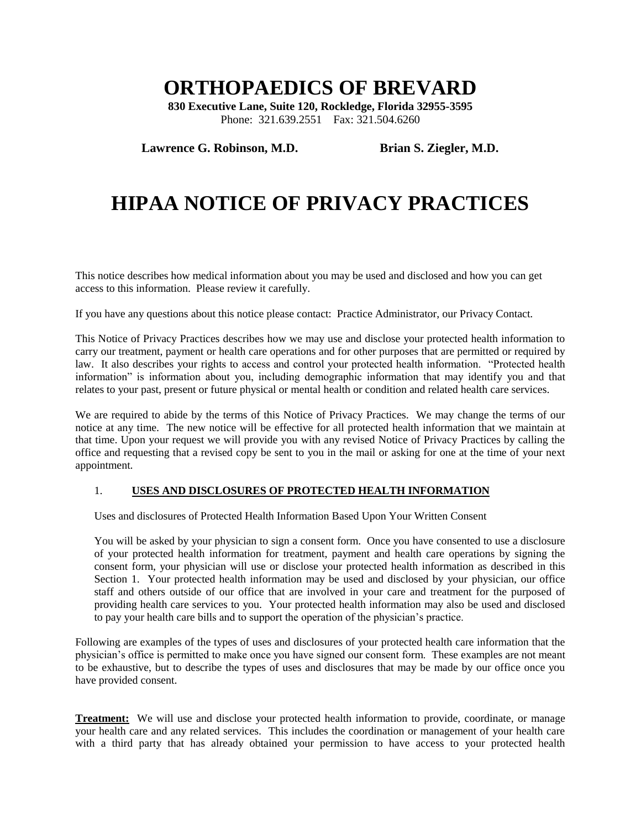# **ORTHOPAEDICS OF BREVARD**

**830 Executive Lane, Suite 120, Rockledge, Florida 32955-3595** Phone: 321.639.2551 Fax: 321.504.6260

**Lawrence G. Robinson, M.D. Brian S. Ziegler, M.D.**

# **HIPAA NOTICE OF PRIVACY PRACTICES**

This notice describes how medical information about you may be used and disclosed and how you can get access to this information. Please review it carefully.

If you have any questions about this notice please contact: Practice Administrator, our Privacy Contact.

This Notice of Privacy Practices describes how we may use and disclose your protected health information to carry our treatment, payment or health care operations and for other purposes that are permitted or required by law. It also describes your rights to access and control your protected health information. "Protected health information" is information about you, including demographic information that may identify you and that relates to your past, present or future physical or mental health or condition and related health care services.

We are required to abide by the terms of this Notice of Privacy Practices. We may change the terms of our notice at any time. The new notice will be effective for all protected health information that we maintain at that time. Upon your request we will provide you with any revised Notice of Privacy Practices by calling the office and requesting that a revised copy be sent to you in the mail or asking for one at the time of your next appointment.

#### 1. **USES AND DISCLOSURES OF PROTECTED HEALTH INFORMATION**

Uses and disclosures of Protected Health Information Based Upon Your Written Consent

You will be asked by your physician to sign a consent form. Once you have consented to use a disclosure of your protected health information for treatment, payment and health care operations by signing the consent form, your physician will use or disclose your protected health information as described in this Section 1. Your protected health information may be used and disclosed by your physician, our office staff and others outside of our office that are involved in your care and treatment for the purposed of providing health care services to you. Your protected health information may also be used and disclosed to pay your health care bills and to support the operation of the physician's practice.

Following are examples of the types of uses and disclosures of your protected health care information that the physician's office is permitted to make once you have signed our consent form. These examples are not meant to be exhaustive, but to describe the types of uses and disclosures that may be made by our office once you have provided consent.

**Treatment:** We will use and disclose your protected health information to provide, coordinate, or manage your health care and any related services. This includes the coordination or management of your health care with a third party that has already obtained your permission to have access to your protected health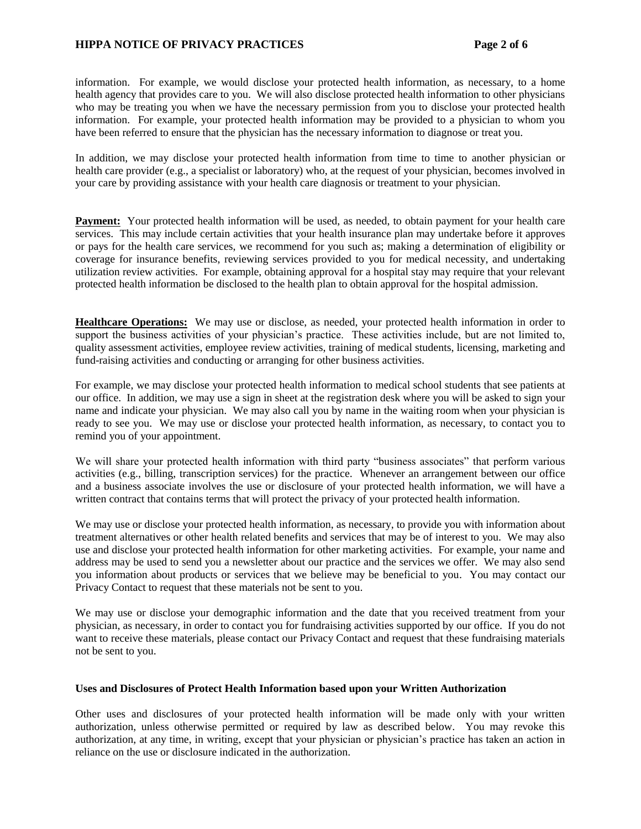#### **HIPPA NOTICE OF PRIVACY PRACTICES** Page 2 of 6

information. For example, we would disclose your protected health information, as necessary, to a home health agency that provides care to you. We will also disclose protected health information to other physicians who may be treating you when we have the necessary permission from you to disclose your protected health information. For example, your protected health information may be provided to a physician to whom you have been referred to ensure that the physician has the necessary information to diagnose or treat you.

In addition, we may disclose your protected health information from time to time to another physician or health care provider (e.g., a specialist or laboratory) who, at the request of your physician, becomes involved in your care by providing assistance with your health care diagnosis or treatment to your physician.

**Payment:** Your protected health information will be used, as needed, to obtain payment for your health care services. This may include certain activities that your health insurance plan may undertake before it approves or pays for the health care services, we recommend for you such as; making a determination of eligibility or coverage for insurance benefits, reviewing services provided to you for medical necessity, and undertaking utilization review activities. For example, obtaining approval for a hospital stay may require that your relevant protected health information be disclosed to the health plan to obtain approval for the hospital admission.

**Healthcare Operations:** We may use or disclose, as needed, your protected health information in order to support the business activities of your physician's practice. These activities include, but are not limited to, quality assessment activities, employee review activities, training of medical students, licensing, marketing and fund-raising activities and conducting or arranging for other business activities.

For example, we may disclose your protected health information to medical school students that see patients at our office. In addition, we may use a sign in sheet at the registration desk where you will be asked to sign your name and indicate your physician. We may also call you by name in the waiting room when your physician is ready to see you. We may use or disclose your protected health information, as necessary, to contact you to remind you of your appointment.

We will share your protected health information with third party "business associates" that perform various activities (e.g., billing, transcription services) for the practice. Whenever an arrangement between our office and a business associate involves the use or disclosure of your protected health information, we will have a written contract that contains terms that will protect the privacy of your protected health information.

We may use or disclose your protected health information, as necessary, to provide you with information about treatment alternatives or other health related benefits and services that may be of interest to you. We may also use and disclose your protected health information for other marketing activities. For example, your name and address may be used to send you a newsletter about our practice and the services we offer. We may also send you information about products or services that we believe may be beneficial to you. You may contact our Privacy Contact to request that these materials not be sent to you.

We may use or disclose your demographic information and the date that you received treatment from your physician, as necessary, in order to contact you for fundraising activities supported by our office. If you do not want to receive these materials, please contact our Privacy Contact and request that these fundraising materials not be sent to you.

#### **Uses and Disclosures of Protect Health Information based upon your Written Authorization**

Other uses and disclosures of your protected health information will be made only with your written authorization, unless otherwise permitted or required by law as described below. You may revoke this authorization, at any time, in writing, except that your physician or physician's practice has taken an action in reliance on the use or disclosure indicated in the authorization.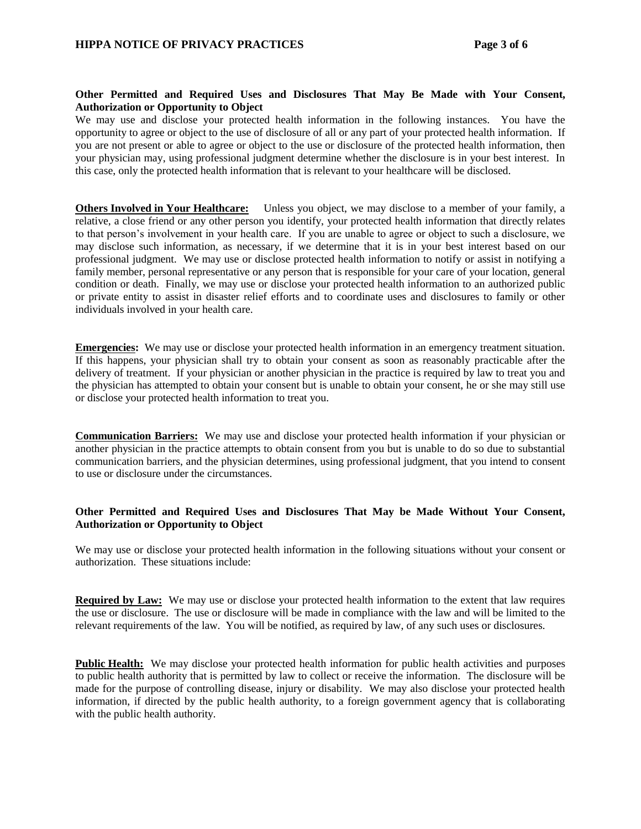#### **Other Permitted and Required Uses and Disclosures That May Be Made with Your Consent, Authorization or Opportunity to Object**

We may use and disclose your protected health information in the following instances. You have the opportunity to agree or object to the use of disclosure of all or any part of your protected health information. If you are not present or able to agree or object to the use or disclosure of the protected health information, then your physician may, using professional judgment determine whether the disclosure is in your best interest. In this case, only the protected health information that is relevant to your healthcare will be disclosed.

**Others Involved in Your Healthcare:** Unless you object, we may disclose to a member of your family, a relative, a close friend or any other person you identify, your protected health information that directly relates to that person's involvement in your health care. If you are unable to agree or object to such a disclosure, we may disclose such information, as necessary, if we determine that it is in your best interest based on our professional judgment. We may use or disclose protected health information to notify or assist in notifying a family member, personal representative or any person that is responsible for your care of your location, general condition or death. Finally, we may use or disclose your protected health information to an authorized public or private entity to assist in disaster relief efforts and to coordinate uses and disclosures to family or other individuals involved in your health care.

**Emergencies:** We may use or disclose your protected health information in an emergency treatment situation. If this happens, your physician shall try to obtain your consent as soon as reasonably practicable after the delivery of treatment. If your physician or another physician in the practice is required by law to treat you and the physician has attempted to obtain your consent but is unable to obtain your consent, he or she may still use or disclose your protected health information to treat you.

**Communication Barriers:** We may use and disclose your protected health information if your physician or another physician in the practice attempts to obtain consent from you but is unable to do so due to substantial communication barriers, and the physician determines, using professional judgment, that you intend to consent to use or disclosure under the circumstances.

### **Other Permitted and Required Uses and Disclosures That May be Made Without Your Consent, Authorization or Opportunity to Object**

We may use or disclose your protected health information in the following situations without your consent or authorization. These situations include:

**Required by Law:** We may use or disclose your protected health information to the extent that law requires the use or disclosure. The use or disclosure will be made in compliance with the law and will be limited to the relevant requirements of the law. You will be notified, as required by law, of any such uses or disclosures.

**Public Health:** We may disclose your protected health information for public health activities and purposes to public health authority that is permitted by law to collect or receive the information. The disclosure will be made for the purpose of controlling disease, injury or disability. We may also disclose your protected health information, if directed by the public health authority, to a foreign government agency that is collaborating with the public health authority.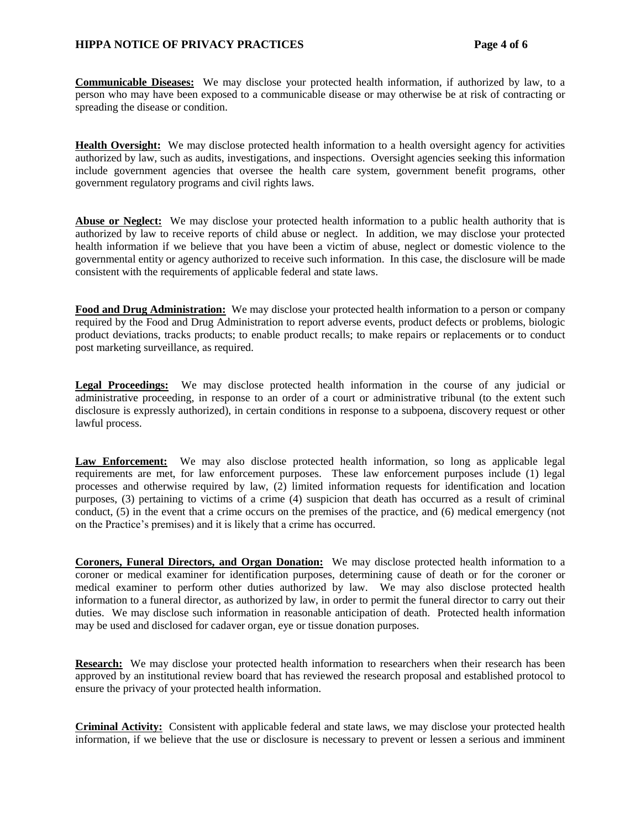**Communicable Diseases:** We may disclose your protected health information, if authorized by law, to a person who may have been exposed to a communicable disease or may otherwise be at risk of contracting or spreading the disease or condition.

**Health Oversight:** We may disclose protected health information to a health oversight agency for activities authorized by law, such as audits, investigations, and inspections. Oversight agencies seeking this information include government agencies that oversee the health care system, government benefit programs, other government regulatory programs and civil rights laws.

**Abuse or Neglect:** We may disclose your protected health information to a public health authority that is authorized by law to receive reports of child abuse or neglect. In addition, we may disclose your protected health information if we believe that you have been a victim of abuse, neglect or domestic violence to the governmental entity or agency authorized to receive such information. In this case, the disclosure will be made consistent with the requirements of applicable federal and state laws.

**Food and Drug Administration:** We may disclose your protected health information to a person or company required by the Food and Drug Administration to report adverse events, product defects or problems, biologic product deviations, tracks products; to enable product recalls; to make repairs or replacements or to conduct post marketing surveillance, as required.

**Legal Proceedings:** We may disclose protected health information in the course of any judicial or administrative proceeding, in response to an order of a court or administrative tribunal (to the extent such disclosure is expressly authorized), in certain conditions in response to a subpoena, discovery request or other lawful process.

Law Enforcement: We may also disclose protected health information, so long as applicable legal requirements are met, for law enforcement purposes. These law enforcement purposes include (1) legal processes and otherwise required by law, (2) limited information requests for identification and location purposes, (3) pertaining to victims of a crime (4) suspicion that death has occurred as a result of criminal conduct, (5) in the event that a crime occurs on the premises of the practice, and (6) medical emergency (not on the Practice's premises) and it is likely that a crime has occurred.

**Coroners, Funeral Directors, and Organ Donation:** We may disclose protected health information to a coroner or medical examiner for identification purposes, determining cause of death or for the coroner or medical examiner to perform other duties authorized by law. We may also disclose protected health information to a funeral director, as authorized by law, in order to permit the funeral director to carry out their duties. We may disclose such information in reasonable anticipation of death. Protected health information may be used and disclosed for cadaver organ, eye or tissue donation purposes.

**Research:** We may disclose your protected health information to researchers when their research has been approved by an institutional review board that has reviewed the research proposal and established protocol to ensure the privacy of your protected health information.

**Criminal Activity:** Consistent with applicable federal and state laws, we may disclose your protected health information, if we believe that the use or disclosure is necessary to prevent or lessen a serious and imminent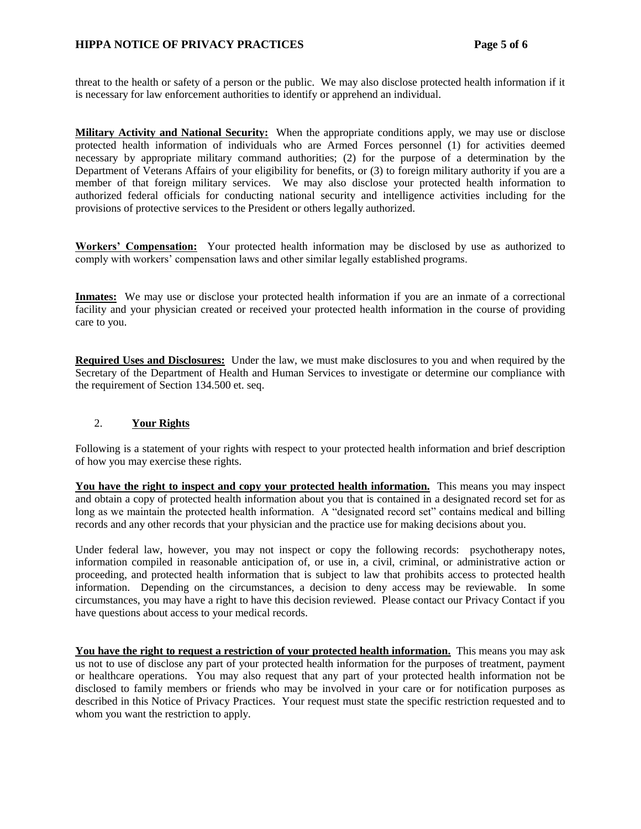threat to the health or safety of a person or the public. We may also disclose protected health information if it is necessary for law enforcement authorities to identify or apprehend an individual.

**Military Activity and National Security:** When the appropriate conditions apply, we may use or disclose protected health information of individuals who are Armed Forces personnel (1) for activities deemed necessary by appropriate military command authorities; (2) for the purpose of a determination by the Department of Veterans Affairs of your eligibility for benefits, or (3) to foreign military authority if you are a member of that foreign military services. We may also disclose your protected health information to authorized federal officials for conducting national security and intelligence activities including for the provisions of protective services to the President or others legally authorized.

**Workers' Compensation:** Your protected health information may be disclosed by use as authorized to comply with workers' compensation laws and other similar legally established programs.

**Inmates:** We may use or disclose your protected health information if you are an inmate of a correctional facility and your physician created or received your protected health information in the course of providing care to you.

**Required Uses and Disclosures:** Under the law, we must make disclosures to you and when required by the Secretary of the Department of Health and Human Services to investigate or determine our compliance with the requirement of Section 134.500 et. seq.

# 2. **Your Rights**

Following is a statement of your rights with respect to your protected health information and brief description of how you may exercise these rights.

**You have the right to inspect and copy your protected health information.** This means you may inspect and obtain a copy of protected health information about you that is contained in a designated record set for as long as we maintain the protected health information. A "designated record set" contains medical and billing records and any other records that your physician and the practice use for making decisions about you.

Under federal law, however, you may not inspect or copy the following records: psychotherapy notes, information compiled in reasonable anticipation of, or use in, a civil, criminal, or administrative action or proceeding, and protected health information that is subject to law that prohibits access to protected health information. Depending on the circumstances, a decision to deny access may be reviewable. In some circumstances, you may have a right to have this decision reviewed. Please contact our Privacy Contact if you have questions about access to your medical records.

**You have the right to request a restriction of your protected health information.** This means you may ask us not to use of disclose any part of your protected health information for the purposes of treatment, payment or healthcare operations. You may also request that any part of your protected health information not be disclosed to family members or friends who may be involved in your care or for notification purposes as described in this Notice of Privacy Practices. Your request must state the specific restriction requested and to whom you want the restriction to apply.